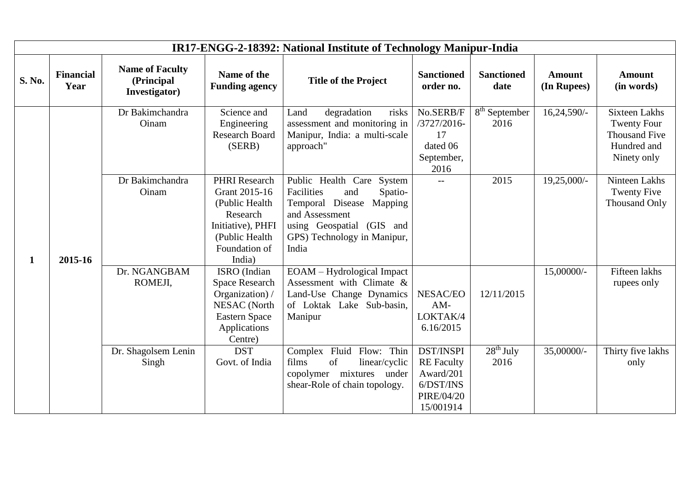| IR17-ENGG-2-18392: National Institute of Technology Manipur-India |                          |                                                       |                                                                                                                                       |                                                                                                                                                                                 |                                                                                     |                                            |                              |                                                                                                  |  |  |
|-------------------------------------------------------------------|--------------------------|-------------------------------------------------------|---------------------------------------------------------------------------------------------------------------------------------------|---------------------------------------------------------------------------------------------------------------------------------------------------------------------------------|-------------------------------------------------------------------------------------|--------------------------------------------|------------------------------|--------------------------------------------------------------------------------------------------|--|--|
| S. No.                                                            | <b>Financial</b><br>Year | <b>Name of Faculty</b><br>(Principal<br>Investigator) | Name of the<br><b>Funding agency</b>                                                                                                  | <b>Title of the Project</b>                                                                                                                                                     | <b>Sanctioned</b><br>order no.                                                      | <b>Sanctioned</b><br>date                  | <b>Amount</b><br>(In Rupees) | <b>Amount</b><br>(in words)                                                                      |  |  |
| $\mathbf{1}$                                                      | 2015-16                  | Dr Bakimchandra<br>Oinam                              | Science and<br>Engineering<br>Research Board<br>(SERB)                                                                                | degradation<br>Land<br>risks<br>assessment and monitoring in<br>Manipur, India: a multi-scale<br>approach"                                                                      | No.SERB/F<br>/3727/2016-<br>17<br>dated 06<br>September,<br>2016                    | 8 <sup>th</sup> September<br>2016          | 16,24,590/-                  | <b>Sixteen Lakhs</b><br><b>Twenty Four</b><br><b>Thousand Five</b><br>Hundred and<br>Ninety only |  |  |
|                                                                   |                          | Dr Bakimchandra<br>Oinam                              | <b>PHRI</b> Research<br>Grant 2015-16<br>(Public Health<br>Research<br>Initiative), PHFI<br>(Public Health<br>Foundation of<br>India) | Public Health Care System<br>Facilities<br>and<br>Spatio-<br>Temporal Disease<br>Mapping<br>and Assessment<br>using Geospatial (GIS and<br>GPS) Technology in Manipur,<br>India | $-$                                                                                 | 2015                                       | 19,25,000/-                  | Ninteen Lakhs<br><b>Twenty Five</b><br><b>Thousand Only</b>                                      |  |  |
|                                                                   |                          | Dr. NGANGBAM<br>ROMEJI,                               | ISRO (Indian<br><b>Space Research</b><br>Organization) /<br><b>NESAC</b> (North<br><b>Eastern Space</b><br>Applications<br>Centre)    | EOAM – Hydrological Impact<br>Assessment with Climate &<br>Land-Use Change Dynamics<br>of Loktak Lake Sub-basin,<br>Manipur                                                     | NESAC/EO<br>$AM-$<br>LOKTAK/4<br>6.16/2015                                          | 12/11/2015                                 | 15,00000/-                   | Fifteen lakhs<br>rupees only                                                                     |  |  |
|                                                                   |                          | Dr. Shagolsem Lenin<br>Singh                          | <b>DST</b><br>Govt. of India                                                                                                          | Complex Fluid Flow: Thin<br>films<br>of<br>linear/cyclic<br>copolymer mixtures under<br>shear-Role of chain topology.                                                           | DST/INSPI<br><b>RE</b> Faculty<br>Award/201<br>6/DST/INS<br>PIRE/04/20<br>15/001914 | $\overline{28}$ <sup>th</sup> July<br>2016 | 35,00000/-                   | Thirty five lakhs<br>only                                                                        |  |  |